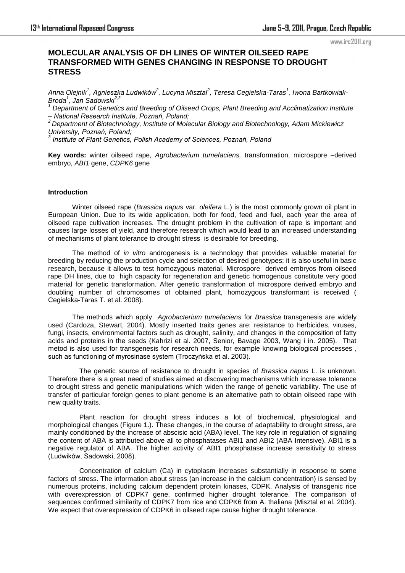#### www.irc2011.org

# **MOLECULAR ANALYSIS OF DH LINES OF WINTER OILSEED RAPE TRANSFORMED WITH GENES CHANGING IN RESPONSE TO DROUGHT STRESS**

*Anna Olejnik<sup>1</sup> , Agnieszka Ludwików<sup>2</sup> , Lucyna Misztal<sup>2</sup> , Teresa Cegielska-Taras<sup>1</sup> , Iwona Bartkowiak-Broda<sup>1</sup> , Jan Sadowski2,3*

*1 Department of Genetics and Breeding of Oilseed Crops, Plant Breeding and Acclimatization Institute – National Research Institute, Poznań, Poland;*

*<sup>2</sup>Department of Biotechnology, Institute of Molecular Biology and Biotechnology, Adam Mickiewicz University, Poznań, Poland;*

*3 Institute of Plant Genetics, Polish Academy of Sciences, Poznań, Poland*

**Key words:** winter oilseed rape, *Agrobacterium tumefaciens,* transformation, microspore –derived embryo, *ABI1* gene, *CDPK6* gene

### **Introduction**

Winter oilseed rape (*Brassica napus* var. *oleifera* L.) is the most commonly grown oil plant in European Union. Due to its wide application, both for food, feed and fuel, each year the area of oilseed rape cultivation increases. The drought problem in the cultivation of rape is important and causes large losses of yield, and therefore research which would lead to an increased understanding of mechanisms of plant tolerance to drought stress is desirable for breeding.

The method of *in vitro* androgenesis is a technology that provides valuable material for breeding by reducing the production cycle and selection of desired genotypes; it is also useful in basic research, because it allows to test homozygous material. Microspore derived embryos from oilseed rape DH lines, due to high capacity for regeneration and genetic homogenous constitute very good material for genetic transformation. After genetic transformation of microspore derived embryo and doubling number of chromosomes of obtained plant, homozygous transformant is received ( Cegielska-Taras T. et al. 2008).

The methods which apply *Agrobacterium tumefaciens* for *Brassica* transgenesis are widely used (Cardoza, Stewart, 2004). Mostly inserted traits genes are: resistance to herbicides, viruses, fungi, insects, environmental factors such as drought, salinity, and changes in the composition of fatty acids and proteins in the seeds (Kahrizi et al. 2007, Senior, Bavage 2003, Wang i in. 2005). That metod is also used for transgenesis for research needs, for example knowing biological processes , such as functioning of myrosinase system (Troczyńska et al. 2003).

 The genetic source of resistance to drought in species of *Brassica napus* L. is unknown. Therefore there is a great need of studies aimed at discovering mechanisms which increase tolerance to drought stress and genetic manipulations which widen the range of genetic variability. The use of transfer of particular foreign genes to plant genome is an alternative path to obtain oilseed rape with new quality traits.

 Plant reaction for drought stress induces a lot of biochemical, physiological and morphological changes (Figure 1.). These changes, in the course of adaptability to drought stress, are mainly conditioned by the increase of abscisic acid (ABA) level. The key role in regulation of signaling the content of ABA is attributed above all to phosphatases ABI1 and ABI2 (ABA Intensive). ABI1 is a negative regulator of ABA. The higher activity of ABI1 phosphatase increase sensitivity to stress (Ludwików, Sadowski, 2008).

 Concentration of calcium (Ca) in cytoplasm increases substantially in response to some factors of stress. The information about stress (an increase in the calcium concentration) is sensed by numerous proteins, including calcium dependent protein kinases, CDPK. Analysis of transgenic rice with overexpression of CDPK7 gene, confirmed higher drought tolerance. The comparison of sequences confirmed similarity of CDPK7 from rice and CDPK6 from A. thaliana (Misztal et al. 2004). We expect that overexpression of CDPK6 in oilseed rape cause higher drought tolerance.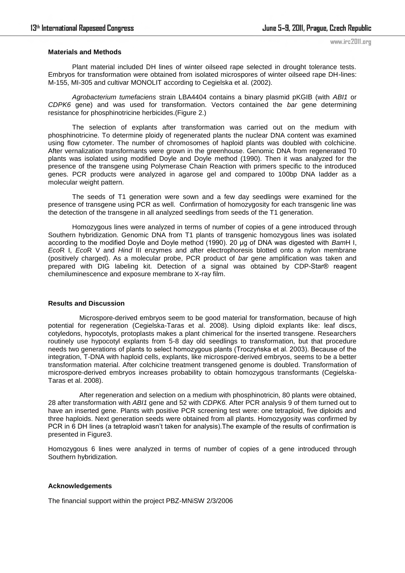#### **Materials and Methods**

 Plant material included DH lines of winter oilseed rape selected in drought tolerance tests. Embryos for transformation were obtained from isolated microspores of winter oilseed rape DH-lines: M-155, MI-305 and cultivar MONOLIT according to Cegielska et al. (2002).

*Agrobacterium tumefaciens* strain LBA4404 contains a binary plasmid pKGIB (with *ABI1* or *CDPK6* gene) and was used for transformation. Vectors contained the *bar* gene determining resistance for phosphinotricine herbicides.(Figure 2.)

 The selection of explants after transformation was carried out on the medium with phosphinotricine. To determine ploidy of regenerated plants the nuclear DNA content was examined using flow cytometer. The number of chromosomes of haploid plants was doubled with colchicine. After vernalization transformants were grown in the greenhouse. Genomic DNA from regenerated T0 plants was isolated using modified Doyle and Doyle method (1990). Then it was analyzed for the presence of the transgene using Polymerase Chain Reaction with primers specific to the introduced genes. PCR products were analyzed in agarose gel and compared to 100bp DNA ladder as a molecular weight pattern.

The seeds of T1 generation were sown and a few day seedlings were examined for the presence of transgene using PCR as well. Confirmation of homozygosity for each transgenic line was the detection of the transgene in all analyzed seedlings from seeds of the T1 generation.

Homozygous lines were analyzed in terms of number of copies of a gene introduced through Southern hybridization. Genomic DNA from T1 plants of transgenic homozygous lines was isolated according to the modified Doyle and Doyle method (1990). 20 µg of DNA was digested with *Bam*H I, *Eco*R I, *Eco*R V and *Hind* III enzymes and after electrophoresis blotted onto a nylon membrane (positively charged). As a molecular probe, PCR product of *bar* gene amplification was taken and prepared with DIG labeling kit. Detection of a signal was obtained by CDP-Star® reagent chemiluminescence and exposure membrane to X-ray film.

### **Results and Discussion**

 Microspore-derived embryos seem to be good material for transformation, because of high potential for regeneration (Cegielska-Taras et al. 2008). Using diploid explants like: leaf discs, cotyledons, hypocotyls, protoplasts makes a plant chimerical for the inserted transgene. Researchers routinely use hypocotyl explants from 5-8 day old seedlings to transformation, but that procedure needs two generations of plants to select homozygous plants (Troczyńska et al. 2003). Because of the integration, T-DNA with haploid cells, explants, like microspore-derived embryos, seems to be a better transformation material. After colchicine treatment transgened genome is doubled. Transformation of microspore-derived embryos increases probability to obtain homozygous transformants (Cegielska-Taras et al. 2008).

 After regeneration and selection on a medium with phosphinotricin, 80 plants were obtained, 28 after transformation with *ABI1* gene and 52 with *CDPK6.* After PCR analysis 9 of them turned out to have an inserted gene. Plants with positive PCR screening test were: one tetraploid, five diploids and three haploids. Next generation seeds were obtained from all plants. Homozygosity was confirmed by PCR in 6 DH lines (a tetraploid wasn"t taken for analysis).The example of the results of confirmation is presented in Figure3.

Homozygous 6 lines were analyzed in terms of number of copies of a gene introduced through Southern hybridization.

## **Acknowledgements**

The financial support within the project PBZ-MNiSW 2/3/2006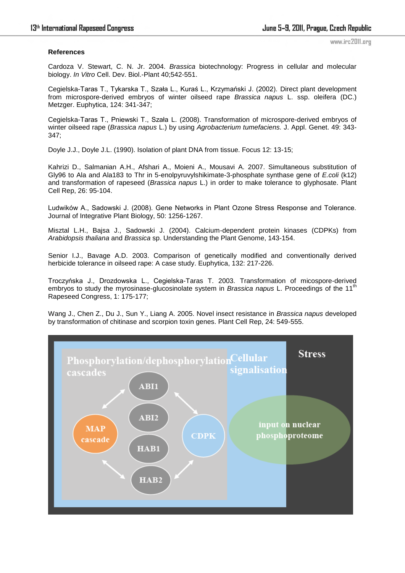## **References**

www.irc2011.org

Cardoza V. Stewart, C. N. Jr. 2004. *Brassica* biotechnology: Progress in cellular and molecular biology. *In Vitro* Cell. Dev. Biol.-Plant 40;542-551.

Cegielska-Taras T., Tykarska T., Szała L., Kuraś L., Krzymański J. (2002). Direct plant development from microspore-derived embryos of winter oilseed rape *Brassica napus* L. ssp. oleifera (DC.) Metzger. Euphytica, 124: 341-347;

Cegielska-Taras T., Pniewski T., Szała L. (2008). Transformation of microspore-derived embryos of winter oilseed rape (*Brassica napus* L.) by using *Agrobacterium tumefaciens.* J. Appl. Genet. 49: 343- 347;

Doyle J.J., Doyle J.L. (1990). Isolation of plant DNA from tissue. Focus 12: 13-15;

Kahrizi D., Salmanian A.H., Afshari A., Moieni A., Mousavi A. 2007. Simultaneous substitution of Gly96 to Ala and Ala183 to Thr in 5-enolpyruvylshikimate-3-phosphate synthase gene of *E.coli* (k12) and transformation of rapeseed (*Brassica napus* L.) in order to make tolerance to glyphosate. Plant Cell Rep, 26: 95-104.

Ludwików A., Sadowski J. (2008). Gene Networks in Plant Ozone Stress Response and Tolerance. Journal of Integrative Plant Biology, 50: 1256-1267.

Misztal L.H., Bajsa J., Sadowski J. (2004). Calcium-dependent protein kinases (CDPKs) from *Arabidopsis thaliana* and *Brassica* sp. Understanding the Plant Genome, 143-154.

Senior I.J., Bavage A.D. 2003. Comparison of genetically modified and conventionally derived herbicide tolerance in oilseed rape: A case study. Euphytica, 132: 217-226.

Troczyńska J., Drozdowska L., Cegielska-Taras T. 2003. Transformation of micospore-derived embryos to study the myrosinase-glucosinolate system in *Brassica napus* L. Proceedings of the 11<sup>th</sup> Rapeseed Congress, 1: 175-177;

Wang J., Chen Z., Du J., Sun Y., Liang A. 2005. Novel insect resistance in *Brassica napus* developed by transformation of chitinase and scorpion toxin genes. Plant Cell Rep, 24: 549-555.